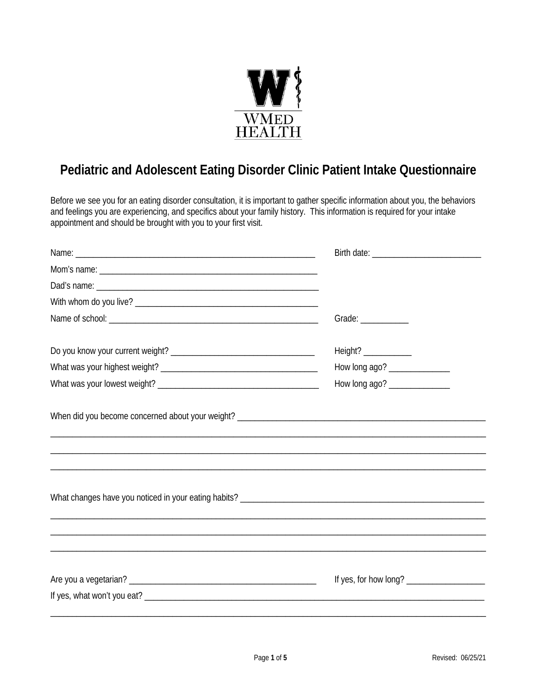

## **Pediatric and Adolescent Eating Disorder Clinic Patient Intake Questionnaire**

Before we see you for an eating disorder consultation, it is important to gather specific information about you, the behaviors and feelings you are experiencing, and specifics about your family history. This information is required for your intake appointment and should be brought with you to your first visit.

|                                                                                  | Grade: ___________             |  |
|----------------------------------------------------------------------------------|--------------------------------|--|
|                                                                                  |                                |  |
|                                                                                  | How long ago? ________________ |  |
|                                                                                  | How long ago? ________________ |  |
| ,我们也不会有什么。""我们的人,我们也不会有什么?""我们的人,我们也不会有什么?""我们的人,我们也不会有什么?""我们的人,我们也不会有什么?""我们的人 |                                |  |
|                                                                                  |                                |  |
|                                                                                  |                                |  |
|                                                                                  |                                |  |
|                                                                                  |                                |  |
|                                                                                  |                                |  |
|                                                                                  |                                |  |
|                                                                                  |                                |  |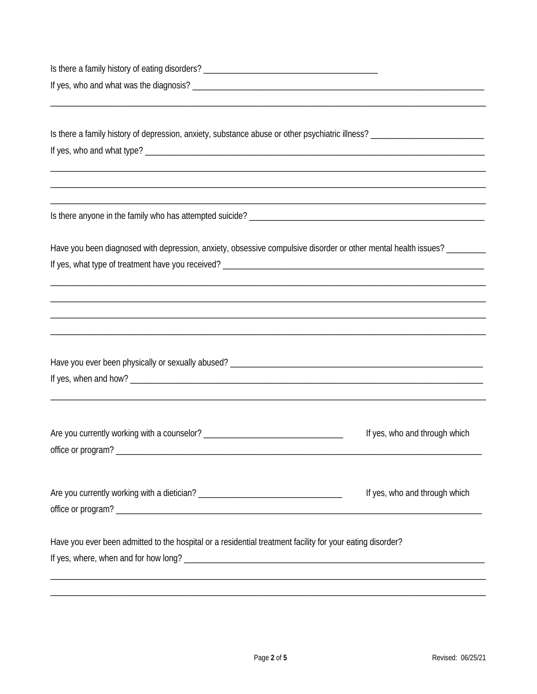| Have you been diagnosed with depression, anxiety, obsessive compulsive disorder or other mental health issues? ________ |                               |  |
|-------------------------------------------------------------------------------------------------------------------------|-------------------------------|--|
|                                                                                                                         |                               |  |
|                                                                                                                         |                               |  |
| <u> 1980 - Jan James James James James James James James James James James James James James James James James</u>      |                               |  |
|                                                                                                                         |                               |  |
|                                                                                                                         |                               |  |
|                                                                                                                         |                               |  |
|                                                                                                                         |                               |  |
|                                                                                                                         |                               |  |
|                                                                                                                         |                               |  |
|                                                                                                                         | If yes, who and through which |  |
|                                                                                                                         |                               |  |
|                                                                                                                         |                               |  |
|                                                                                                                         |                               |  |
|                                                                                                                         | If yes, who and through which |  |
|                                                                                                                         |                               |  |
|                                                                                                                         |                               |  |
| Have you ever been admitted to the hospital or a residential treatment facility for your eating disorder?               |                               |  |
|                                                                                                                         |                               |  |
|                                                                                                                         |                               |  |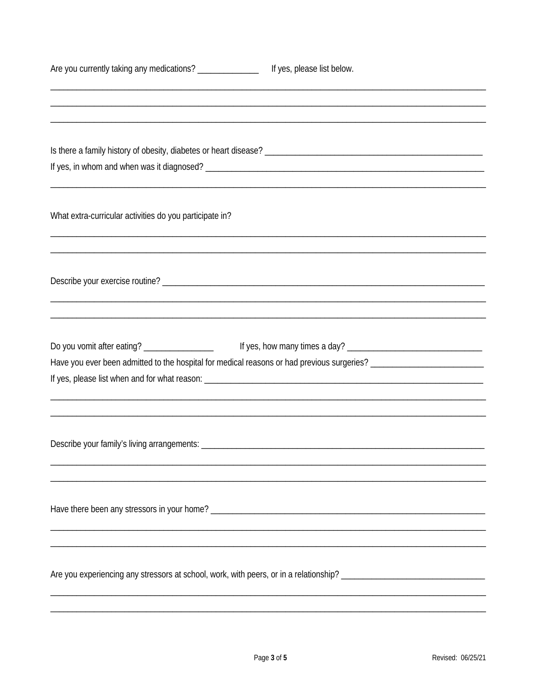| Are you currently taking any medications? ________________ | If yes, please list below.                                                                                           |
|------------------------------------------------------------|----------------------------------------------------------------------------------------------------------------------|
|                                                            |                                                                                                                      |
|                                                            |                                                                                                                      |
|                                                            |                                                                                                                      |
|                                                            |                                                                                                                      |
|                                                            |                                                                                                                      |
| What extra-curricular activities do you participate in?    |                                                                                                                      |
|                                                            |                                                                                                                      |
|                                                            |                                                                                                                      |
|                                                            |                                                                                                                      |
| Do you vomit after eating? ___________________             |                                                                                                                      |
|                                                            | Have you ever been admitted to the hospital for medical reasons or had previous surgeries? _________________________ |
|                                                            |                                                                                                                      |
|                                                            |                                                                                                                      |
|                                                            |                                                                                                                      |
|                                                            |                                                                                                                      |
|                                                            |                                                                                                                      |
|                                                            |                                                                                                                      |
|                                                            |                                                                                                                      |
|                                                            |                                                                                                                      |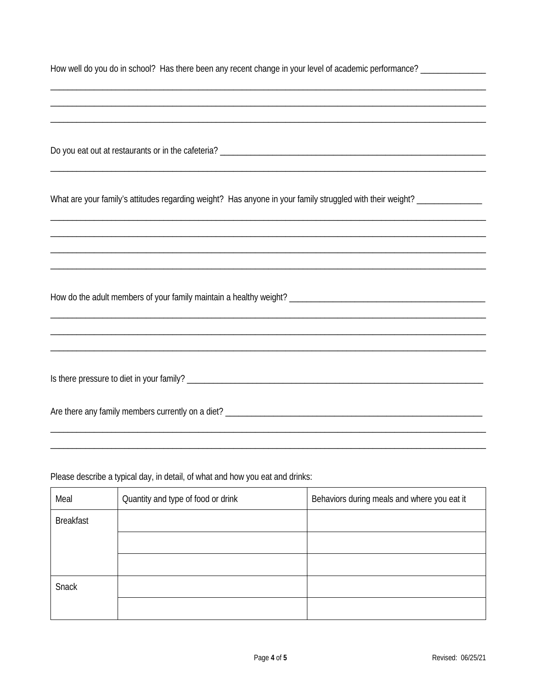| How well do you do in school? Has there been any recent change in your level of academic performance? |  |  |
|-------------------------------------------------------------------------------------------------------|--|--|
|                                                                                                       |  |  |

| What are your family's attitudes regarding weight? Has anyone in your family struggled with their weight? _________________ |  |  |
|-----------------------------------------------------------------------------------------------------------------------------|--|--|
|                                                                                                                             |  |  |
|                                                                                                                             |  |  |
|                                                                                                                             |  |  |
|                                                                                                                             |  |  |
|                                                                                                                             |  |  |
|                                                                                                                             |  |  |
|                                                                                                                             |  |  |
| ,我们也不会有什么?""我们的人,我们也不会有什么?""我们的人,我们也不会有什么?""我们的人,我们也不会有什么?""我们的人,我们也不会有什么?""我们的人                                            |  |  |
| ,我们也不会有什么?""我们的人,我们也不会有什么?""我们的人,我们也不会有什么?""我们的人,我们也不会有什么?""我们的人,我们也不会有什么?""我们的人                                            |  |  |
|                                                                                                                             |  |  |
|                                                                                                                             |  |  |
|                                                                                                                             |  |  |
|                                                                                                                             |  |  |
|                                                                                                                             |  |  |
|                                                                                                                             |  |  |

Please describe a typical day, in detail, of what and how you eat and drinks:

| Meal             | Quantity and type of food or drink | Behaviors during meals and where you eat it |
|------------------|------------------------------------|---------------------------------------------|
| <b>Breakfast</b> |                                    |                                             |
|                  |                                    |                                             |
|                  |                                    |                                             |
| Snack            |                                    |                                             |
|                  |                                    |                                             |